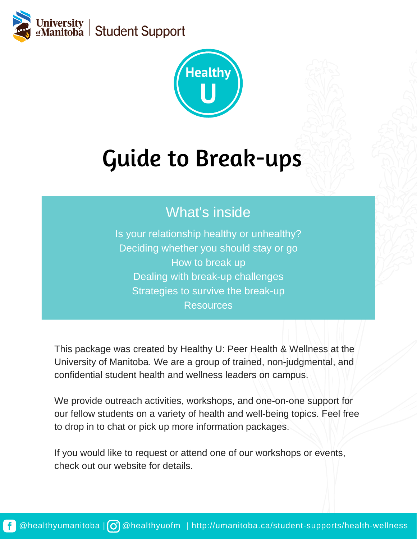



# Guide to Break-ups

# What's inside

Is your relationship healthy or unhealthy? Deciding whether you should stay or go How to break up Dealing with break-up challenges Strategies to survive the break-up **Resources** 

This package was created by Healthy U: Peer Health & Wellness at the University of Manitoba. We are a group of trained, non-judgmental, and confidential student health and wellness leaders on campus.

We provide outreach activities, workshops, and one-on-one support for our fellow students on a variety of health and well-being topics. Feel free to drop in to chat or pick up more information packages.

If you would like to request or attend one of our workshops or events, check out our website for details.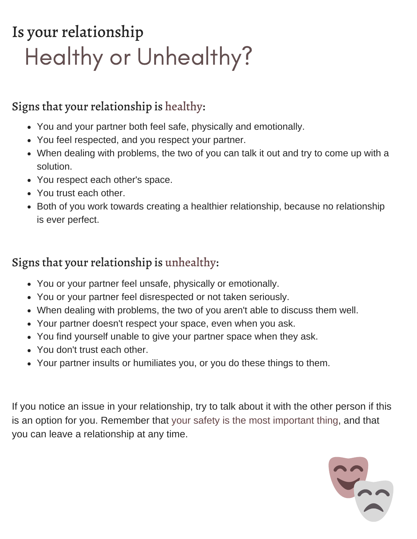# Is your relationship Healthy or Unhealthy?

### Signs that your relationship is healthy:

- You and your partner both feel safe, physically and emotionally.
- You feel respected, and you respect your partner.
- When dealing with problems, the two of you can talk it out and try to come up with a solution.
- You respect each other's space.
- You trust each other.
- Both of you work towards creating a healthier relationship, because no relationship is ever perfect.

### Signs that your relationship is unhealthy:

- You or your partner feel unsafe, physically or emotionally.
- You or your partner feel disrespected or not taken seriously.
- When dealing with problems, the two of you aren't able to discuss them well.
- Your partner doesn't respect your space, even when you ask.
- You find yourself unable to give your partner space when they ask.
- You don't trust each other.
- Your partner insults or humiliates you, or you do these things to them.

If you notice an issue in your relationship, try to talk about it with the other person if this is an option for you. Remember that your safety is the most important thing, and that you can leave a relationship at any time.

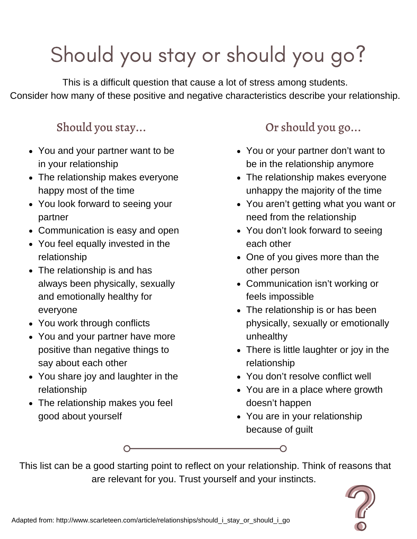# Should you stay or should you go?

This is a difficult question that cause a lot of stress among students. Consider how many of these positive and negative characteristics describe your relationship.

### Should you stay...

- You and your partner want to be in your relationship
- The relationship makes everyone happy most of the time
- You look forward to seeing your partner
- Communication is easy and open
- You feel equally invested in the relationship
- The relationship is and has always been physically, sexually and emotionally healthy for everyone
- You work through conflicts
- You and your partner have more positive than negative things to say about each other
- You share joy and laughter in the relationship
- The relationship makes you feel good about yourself

# Or should you go...

- You or your partner don't want to be in the relationship anymore
- The relationship makes everyone unhappy the majority of the time
- You aren't getting what you want or need from the relationship
- You don't look forward to seeing each other
- One of you gives more than the other person
- Communication isn't working or feels impossible
- The relationship is or has been physically, sexually or emotionally unhealthy
- There is little laughter or joy in the relationship
- You don't resolve conflict well
- You are in a place where growth doesn't happen
- You are in your relationship because of guilt

∩

This list can be a good starting point to reflect on your relationship. Think of reasons that are relevant for you. Trust yourself and your instincts.

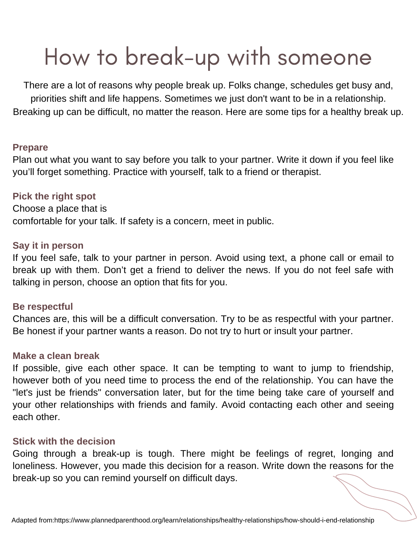# How to break-up with someone

There are a lot of reasons why people break up. Folks change, schedules get busy and, priorities shift and life happens. Sometimes we just don't want to be in a relationship. Breaking up can be difficult, no matter the reason. Here are some tips for a healthy break up.

#### **Prepare**

Plan out what you want to say before you talk to your partner. Write it down if you feel like you'll forget something. Practice with yourself, talk to a friend or therapist.

#### **Pick the right spot**

Choose a place that is comfortable for your talk. If safety is a concern, meet in public.

#### **Say it in person**

If you feel safe, talk to your partner in person. Avoid using text, a phone call or email to break up with them. Don't get a friend to deliver the news. If you do not feel safe with talking in person, choose an option that fits for you.

#### **Be respectful**

Chances are, this will be a difficult conversation. Try to be as respectful with your partner. Be honest if your partner wants a reason. Do not try to hurt or insult your partner.

#### **Make a clean break**

If possible, give each other space. It can be tempting to want to jump to friendship, however both of you need time to process the end of the relationship. You can have the "let's just be friends" conversation later, but for the time being take care of yourself and your other relationships with friends and family. Avoid contacting each other and seeing each other.

#### **Stick with the decision**

Going through a break-up is tough. There might be feelings of regret, longing and loneliness. However, you made this decision for a reason. Write down the reasons for the break-up so you can remind yourself on difficult days.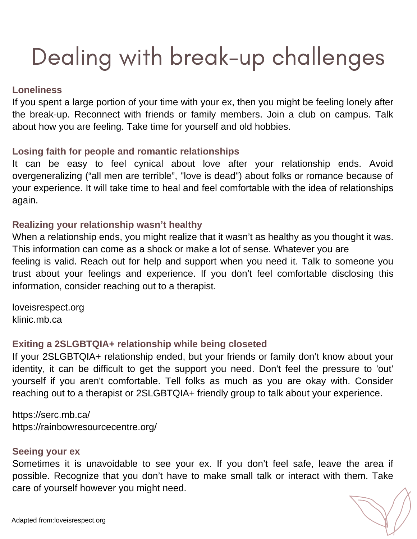# Dealing with break-up challenges

#### **Loneliness**

If you spent a large portion of your time with your ex, then you might be feeling lonely after the break-up. Reconnect with friends or family members. Join a club on campus. Talk about how you are feeling. Take time for yourself and old hobbies.

#### **Losing faith for people and romantic relationships**

It can be easy to feel cynical about love after your relationship ends. Avoid overgeneralizing ("all men are terrible", "love is dead") about folks or romance because of your experience. It will take time to heal and feel comfortable with the idea of relationships again.

#### **Realizing your relationship wasn't healthy**

When a relationship ends, you might realize that it wasn't as healthy as you thought it was. This information can come as a shock or make a lot of sense. Whatever you are feeling is valid. Reach out for help and support when you need it. Talk to someone you trust about your feelings and experience. If you don't feel comfortable disclosing this information, consider reaching out to a therapist.

loveisrespect.org klinic.mb.ca

#### **Exiting a 2SLGBTQIA+ relationship while being closeted**

If your 2SLGBTQIA+ relationship ended, but your friends or family don't know about your identity, it can be difficult to get the support you need. Don't feel the pressure to 'out' yourself if you aren't comfortable. Tell folks as much as you are okay with. Consider reaching out to a therapist or 2SLGBTQIA+ friendly group to talk about your experience.

https://serc.mb.ca/ https://rainbowresourcecentre.org/

#### **Seeing your ex**

Sometimes it is unavoidable to see your ex. If you don't feel safe, leave the area if possible. Recognize that you don't have to make small talk or interact with them. Take care of yourself however you might need.

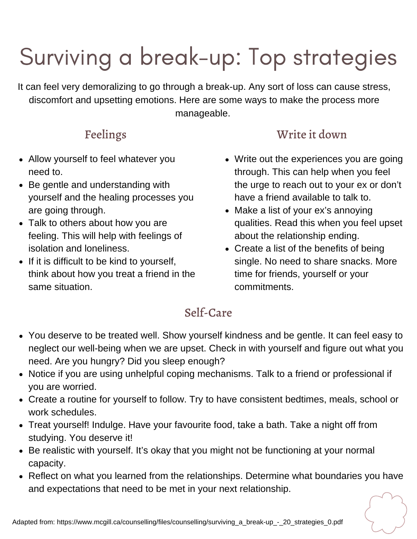# Surviving a break-up: Top strategies

It can feel very demoralizing to go through a break-up. Any sort of loss can cause stress, discomfort and upsetting emotions. Here are some ways to make the process more manageable.

- Allow yourself to feel whatever you need to.
- Be gentle and understanding with yourself and the healing processes you are going through.
- Talk to others about how you are feeling. This will help with feelings of isolation and loneliness.
- If it is difficult to be kind to yourself, think about how you treat a friend in the same situation.

## Feelings Write it down

- Write out the experiences you are going through. This can help when you feel the urge to reach out to your ex or don't have a friend available to talk to.
- Make a list of your ex's annoying qualities. Read this when you feel upset about the relationship ending.
- Create a list of the benefits of being single. No need to share snacks. More time for friends, yourself or your commitments.

### Self-Care

- You deserve to be treated well. Show yourself kindness and be gentle. It can feel easy to neglect our well-being when we are upset. Check in with yourself and figure out what you need. Are you hungry? Did you sleep enough?
- Notice if you are using unhelpful coping mechanisms. Talk to a friend or professional if you are worried.
- Create a routine for yourself to follow. Try to have consistent bedtimes, meals, school or work schedules.
- Treat yourself! Indulge. Have your favourite food, take a bath. Take a night off from studying. You deserve it!
- Be realistic with yourself. It's okay that you might not be functioning at your normal capacity.
- Reflect on what you learned from the relationships. Determine what boundaries you have and expectations that need to be met in your next relationship.